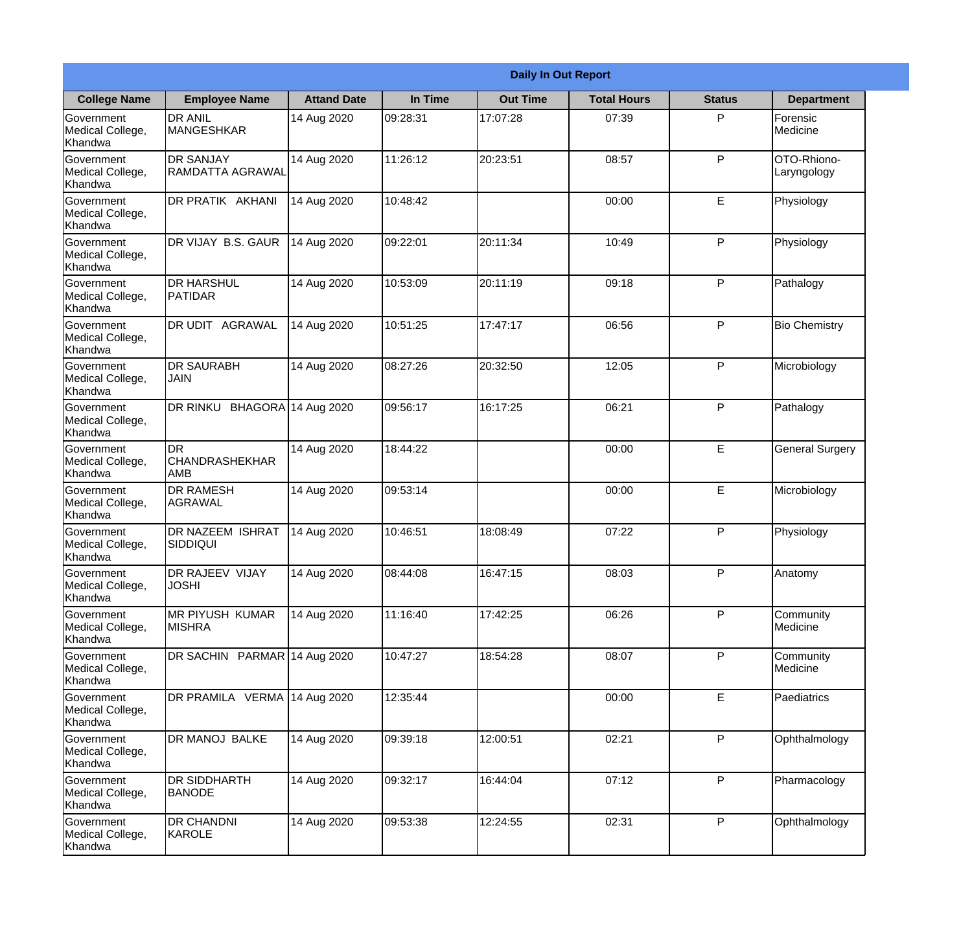| <b>Daily In Out Report</b>                       |                                             |                    |          |                 |                    |               |                            |
|--------------------------------------------------|---------------------------------------------|--------------------|----------|-----------------|--------------------|---------------|----------------------------|
| <b>College Name</b>                              | <b>Employee Name</b>                        | <b>Attand Date</b> | In Time  | <b>Out Time</b> | <b>Total Hours</b> | <b>Status</b> | <b>Department</b>          |
| Government<br>Medical College,<br>Khandwa        | <b>DR ANIL</b><br><b>MANGESHKAR</b>         | 14 Aug 2020        | 09:28:31 | 17:07:28        | 07:39              | P             | Forensic<br>Medicine       |
| Government<br>Medical College,<br>Khandwa        | <b>DR SANJAY</b><br><b>RAMDATTA AGRAWAL</b> | 14 Aug 2020        | 11:26:12 | 20:23:51        | 08:57              | P             | OTO-Rhiono-<br>Laryngology |
| <b>Government</b><br>Medical College,<br>Khandwa | DR PRATIK AKHANI                            | 14 Aug 2020        | 10:48:42 |                 | 00:00              | E             | Physiology                 |
| Government<br>Medical College,<br>Khandwa        | DR VIJAY B.S. GAUR                          | 14 Aug 2020        | 09:22:01 | 20:11:34        | 10:49              | P             | Physiology                 |
| <b>Government</b><br>Medical College,<br>Khandwa | <b>DR HARSHUL</b><br><b>PATIDAR</b>         | 14 Aug 2020        | 10:53:09 | 20:11:19        | 09:18              | P             | Pathalogy                  |
| Government<br>Medical College,<br>Khandwa        | DR UDIT AGRAWAL                             | 14 Aug 2020        | 10:51:25 | 17:47:17        | 06:56              | P             | <b>Bio Chemistry</b>       |
| <b>Government</b><br>Medical College,<br>Khandwa | <b>DR SAURABH</b><br><b>JAIN</b>            | 14 Aug 2020        | 08:27:26 | 20:32:50        | 12:05              | P             | Microbiology               |
| Government<br>Medical College,<br>Khandwa        | DR RINKU BHAGORA 14 Aug 2020                |                    | 09:56:17 | 16:17:25        | 06:21              | P             | Pathalogy                  |
| <b>Government</b><br>Medical College,<br>Khandwa | <b>IDR</b><br><b>CHANDRASHEKHAR</b><br>AMB  | 14 Aug 2020        | 18:44:22 |                 | 00:00              | E             | <b>General Surgery</b>     |
| Government<br>Medical College,<br>Khandwa        | <b>DR RAMESH</b><br>AGRAWAL                 | 14 Aug 2020        | 09:53:14 |                 | 00:00              | E             | Microbiology               |
| Government<br>Medical College,<br>Khandwa        | DR NAZEEM ISHRAT<br><b>SIDDIQUI</b>         | 14 Aug 2020        | 10:46:51 | 18:08:49        | 07:22              | $\mathsf{P}$  | Physiology                 |
| Government<br>Medical College,<br>Khandwa        | DR RAJEEV VIJAY<br><b>JOSHI</b>             | 14 Aug 2020        | 08:44:08 | 16:47:15        | 08:03              | P             | Anatomy                    |
| Government<br>Medical College,<br>Khandwa        | <b>MR PIYUSH KUMAR</b><br>MISHRA            | 14 Aug 2020        | 11:16:40 | 17:42:25        | 06:26              | P             | Community<br>Medicine      |
| Government<br>Medical College,<br>Khandwa        | DR SACHIN PARMAR 14 Aug 2020                |                    | 10:47:27 | 18:54:28        | 08:07              | P             | Community<br>Medicine      |
| <b>Government</b><br>Medical College,<br>Khandwa | DR PRAMILA VERMA                            | 14 Aug 2020        | 12:35:44 |                 | 00:00              | E             | Paediatrics                |
| Government<br>Medical College,<br>Khandwa        | DR MANOJ BALKE                              | 14 Aug 2020        | 09:39:18 | 12:00:51        | 02:21              | P             | Ophthalmology              |
| Government<br>Medical College,<br>Khandwa        | <b>DR SIDDHARTH</b><br><b>BANODE</b>        | 14 Aug 2020        | 09:32:17 | 16:44:04        | 07:12              | P             | Pharmacology               |
| Government<br>Medical College,<br>Khandwa        | DR CHANDNI<br>KAROLE                        | 14 Aug 2020        | 09:53:38 | 12:24:55        | 02:31              | P             | Ophthalmology              |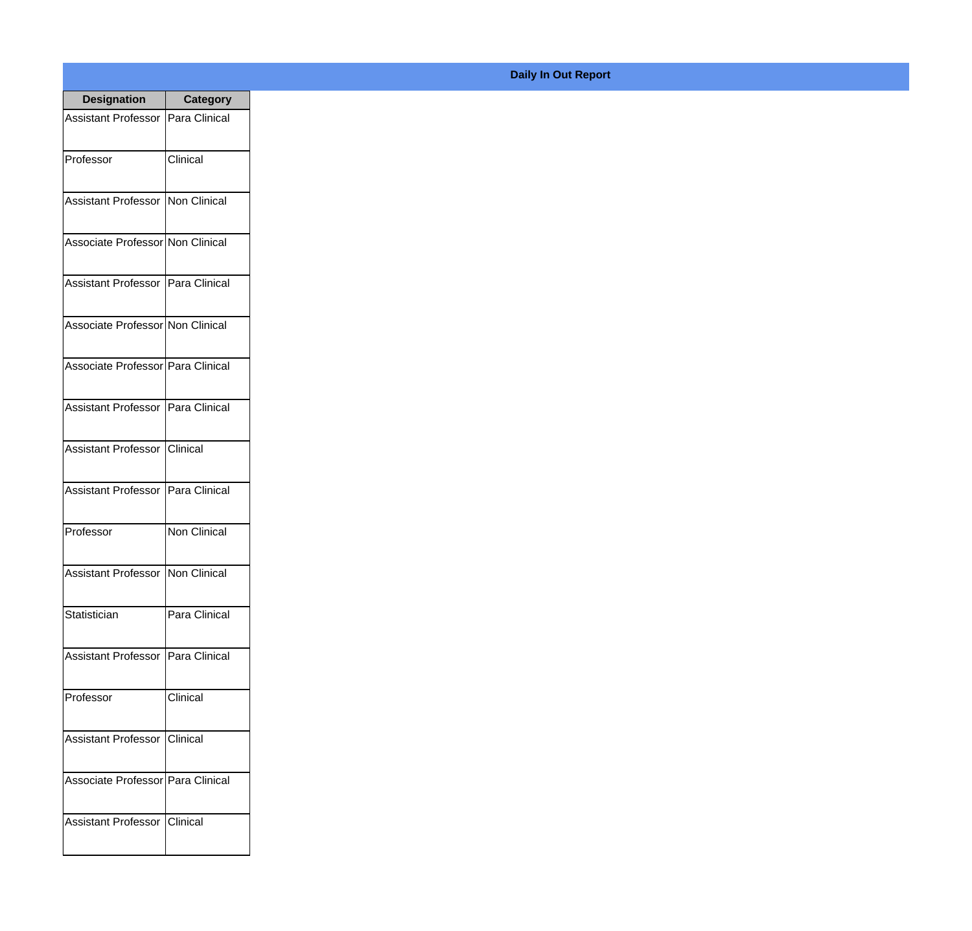| <b>Designation</b>                    | Category      |
|---------------------------------------|---------------|
| Assistant Professor   Para Clinical   |               |
| Professor                             | Clinical      |
| Assistant Professor   Non Clinical    |               |
| Associate Professor Non Clinical      |               |
| Assistant Professor   Para Clinical   |               |
| Associate Professor Non Clinical      |               |
| Associate Professor Para Clinical     |               |
| Assistant Professor   Para Clinical   |               |
| Assistant Professor   Clinical        |               |
| <b>Assistant Professor</b>            | Para Clinical |
| Professor                             | Non Clinical  |
| Assistant Professor   Non Clinical    |               |
| Statistician                          | Para Clinical |
| Assistant Professor   Para Clinical   |               |
| Professor                             | Clinical      |
| <b>Assistant Professor</b>            | Clinical      |
| Associate Professor   Para Clinical   |               |
| <b>Assistant Professor   Clinical</b> |               |

## **Daily In Out Report**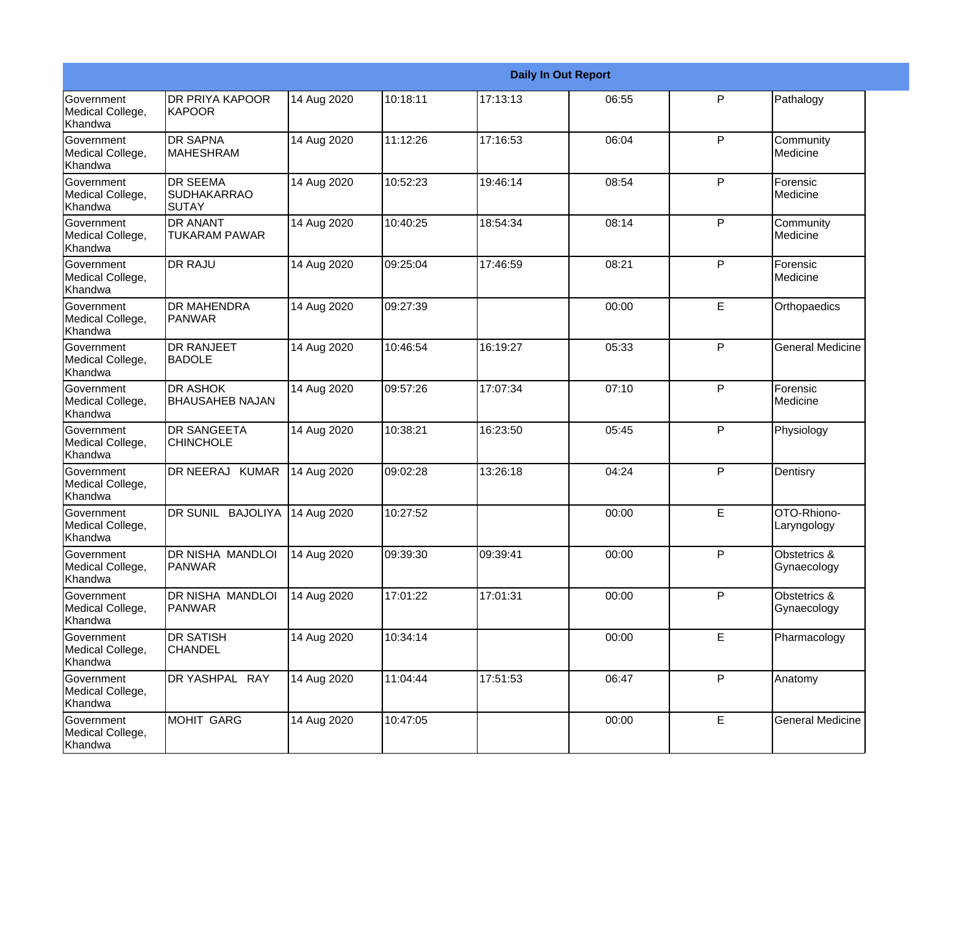|                                                  |                                                       |             |          |          | <b>Daily In Out Report</b> |    |                                        |
|--------------------------------------------------|-------------------------------------------------------|-------------|----------|----------|----------------------------|----|----------------------------------------|
| Government<br>Medical College,<br>Khandwa        | DR PRIYA KAPOOR<br><b>KAPOOR</b>                      | 14 Aug 2020 | 10:18:11 | 17:13:13 | 06:55                      | P  | Pathalogy                              |
| <b>Government</b><br>Medical College,<br>Khandwa | <b>DR SAPNA</b><br><b>MAHESHRAM</b>                   | 14 Aug 2020 | 11:12:26 | 17:16:53 | 06:04                      | P  | Community<br>Medicine                  |
| Government<br>Medical College,<br>Khandwa        | <b>DR SEEMA</b><br><b>SUDHAKARRAO</b><br><b>SUTAY</b> | 14 Aug 2020 | 10:52:23 | 19:46:14 | 08:54                      | P  | Forensic<br>Medicine                   |
| Government<br>Medical College,<br>Khandwa        | <b>DR ANANT</b><br><b>TUKARAM PAWAR</b>               | 14 Aug 2020 | 10:40:25 | 18:54:34 | 08:14                      | P  | Community<br>Medicine                  |
| Government<br>Medical College,<br>Khandwa        | <b>DR RAJU</b>                                        | 14 Aug 2020 | 09:25:04 | 17:46:59 | 08:21                      | P  | Forensic<br>Medicine                   |
| Government<br>Medical College,<br>Khandwa        | <b>DR MAHENDRA</b><br>PANWAR                          | 14 Aug 2020 | 09:27:39 |          | 00:00                      | E  | Orthopaedics                           |
| Government<br>Medical College,<br>Khandwa        | <b>DR RANJEET</b><br><b>BADOLE</b>                    | 14 Aug 2020 | 10:46:54 | 16:19:27 | 05:33                      | P  | <b>General Medicine</b>                |
| Government<br>Medical College,<br>Khandwa        | <b>DR ASHOK</b><br><b>BHAUSAHEB NAJAN</b>             | 14 Aug 2020 | 09:57:26 | 17:07:34 | 07:10                      | P  | Forensic<br>Medicine                   |
| Government<br>Medical College,<br>Khandwa        | <b>DR SANGEETA</b><br><b>CHINCHOLE</b>                | 14 Aug 2020 | 10:38:21 | 16:23:50 | 05:45                      | P  | Physiology                             |
| <b>Government</b><br>Medical College,<br>Khandwa | DR NEERAJ KUMAR                                       | 14 Aug 2020 | 09:02:28 | 13:26:18 | 04:24                      | P  | Dentisry                               |
| <b>Government</b><br>Medical College,<br>Khandwa | DR SUNIL BAJOLIYA                                     | 14 Aug 2020 | 10:27:52 |          | 00:00                      | E  | OTO-Rhiono-<br>Laryngology             |
| Government<br>Medical College,<br>Khandwa        | DR NISHA MANDLOI<br><b>PANWAR</b>                     | 14 Aug 2020 | 09:39:30 | 09:39:41 | 00:00                      | P  | <b>Obstetrics &amp;</b><br>Gynaecology |
| Government<br>Medical College,<br>Khandwa        | DR NISHA MANDLOI<br><b>PANWAR</b>                     | 14 Aug 2020 | 17:01:22 | 17:01:31 | 00:00                      | P  | Obstetrics &<br>Gynaecology            |
| Government<br>Medical College,<br>Khandwa        | <b>DR SATISH</b><br><b>CHANDEL</b>                    | 14 Aug 2020 | 10:34:14 |          | 00:00                      | E. | Pharmacology                           |
| Government<br>Medical College,<br>Khandwa        | DR YASHPAL RAY                                        | 14 Aug 2020 | 11:04:44 | 17:51:53 | 06:47                      | P  | Anatomy                                |
| Government<br>Medical College,<br>Khandwa        | MOHIT GARG                                            | 14 Aug 2020 | 10:47:05 |          | 00:00                      | E  | <b>General Medicine</b>                |